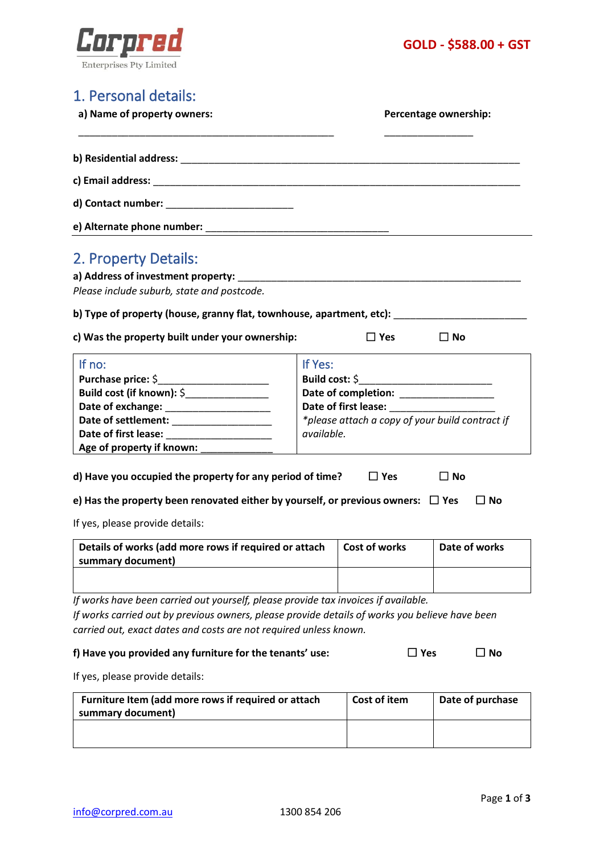



# 1. Personal details:

**a) Name of property owners: Percentage ownership:**

| b) Residential address: Note that the contract of the contract of the contract of the contract of the contract of the contract of the contract of the contract of the contract of the contract of the contract of the contract |  |
|--------------------------------------------------------------------------------------------------------------------------------------------------------------------------------------------------------------------------------|--|
|                                                                                                                                                                                                                                |  |
|                                                                                                                                                                                                                                |  |
|                                                                                                                                                                                                                                |  |
| 2. Property Details:                                                                                                                                                                                                           |  |
| a) Address of investment property:                                                                                                                                                                                             |  |

*Please include suburb, state and postcode.*

**b) Type of property (house, granny flat, townhouse, apartment, etc):** \_\_\_\_\_\_\_\_\_\_\_\_\_\_\_\_\_\_\_\_\_\_\_\_

| c) Was the property built under your ownership: | $\Box$ Yes | $\square$ No |
|-------------------------------------------------|------------|--------------|
|-------------------------------------------------|------------|--------------|

| es<br>۰,<br>×<br>۰. |  |  |
|---------------------|--|--|
|                     |  |  |

| If $no:$                         | If Yes:                                         |
|----------------------------------|-------------------------------------------------|
| <b>Purchase price: \$</b>        | Build cost: \$                                  |
| <b>Build cost (if known): \$</b> | Date of completion:                             |
| Date of exchange:                | Date of first lease:                            |
| Date of settlement:              | *please attach a copy of your build contract if |
| Date of first lease:             | available.                                      |
| Age of property if known:        |                                                 |

| d) Have you occupied the property for any period of time?<br>$\Box$ Yes | $\Box$ No |  |
|-------------------------------------------------------------------------|-----------|--|
|-------------------------------------------------------------------------|-----------|--|

**e) Has the property been renovated either by yourself, or previous owners:** ☐ **Yes** ☐ **No**

If yes, please provide details:

| l Cost of works | Date of works |
|-----------------|---------------|
|                 |               |
|                 |               |
|                 |               |

*If works have been carried out yourself, please provide tax invoices if available. If works carried out by previous owners, please provide details of works you believe have been carried out, exact dates and costs are not required unless known.*

#### **f) Have you provided any furniture for the tenants' use:** ☐ **Yes** ☐ **No**

If yes, please provide details:

| Furniture Item (add more rows if required or attach<br>summary document) | Cost of item | Date of purchase |
|--------------------------------------------------------------------------|--------------|------------------|
|                                                                          |              |                  |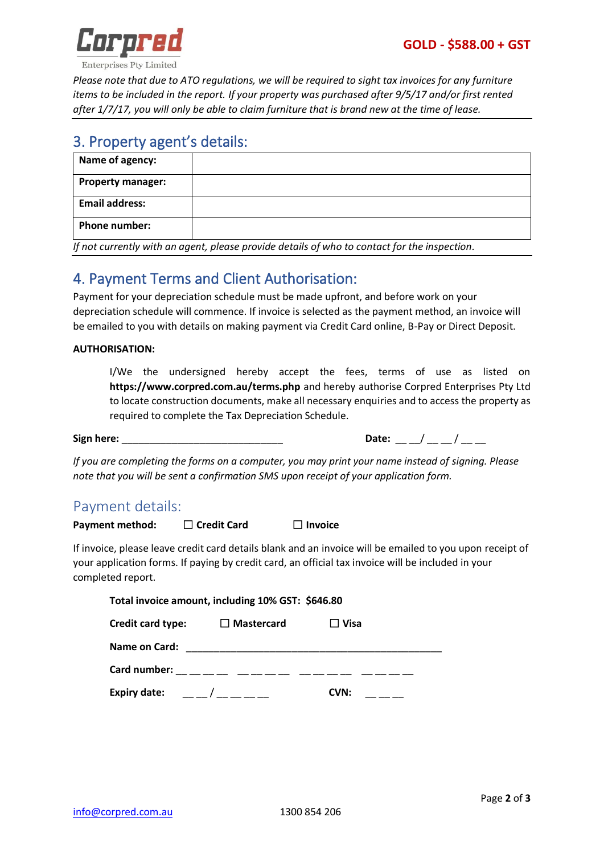

**Enterprises Pty Limited** 

*Please note that due to ATO regulations, we will be required to sight tax invoices for any furniture items to be included in the report. If your property was purchased after 9/5/17 and/or first rented after 1/7/17, you will only be able to claim furniture that is brand new at the time of lease.*

## 3. Property agent's details:

| Name of agency:          |  |
|--------------------------|--|
| <b>Property manager:</b> |  |
| <b>Email address:</b>    |  |
| Phone number:            |  |

*If not currently with an agent, please provide details of who to contact for the inspection.*

# 4. Payment Terms and Client Authorisation:

Payment for your depreciation schedule must be made upfront, and before work on your depreciation schedule will commence. If invoice is selected as the payment method, an invoice will be emailed to you with details on making payment via Credit Card online, B-Pay or Direct Deposit.

#### **AUTHORISATION:**

I/We the undersigned hereby accept the fees, terms of use as listed on **<https://www.corpred.com.au/terms.php>** and hereby authorise Corpred Enterprises Pty Ltd to locate construction documents, make all necessary enquiries and to access the property as required to complete the Tax Depreciation Schedule.

**Sign here:** \_\_\_\_\_\_\_\_\_\_\_\_\_\_\_\_\_\_\_\_\_\_\_\_\_\_\_\_\_ **Date:** \_\_ \_\_/ \_\_ \_\_ / \_\_ \_\_

*If you are completing the forms on a computer, you may print your name instead of signing. Please note that you will be sent a confirmation SMS upon receipt of your application form.*

## Payment details:

**Payment method:** ☐ **Credit Card** ☐ **Invoice**

If invoice, please leave credit card details blank and an invoice will be emailed to you upon receipt of your application forms. If paying by credit card, an official tax invoice will be included in your completed report.

| Total invoice amount, including 10% GST: \$646.80 |                   |             |  |
|---------------------------------------------------|-------------------|-------------|--|
| Credit card type:                                 | $\Box$ Mastercard | $\Box$ Visa |  |
| Name on Card:                                     |                   |             |  |
| Card number:                                      |                   |             |  |
| <b>Expiry date:</b>                               |                   | CVN:        |  |